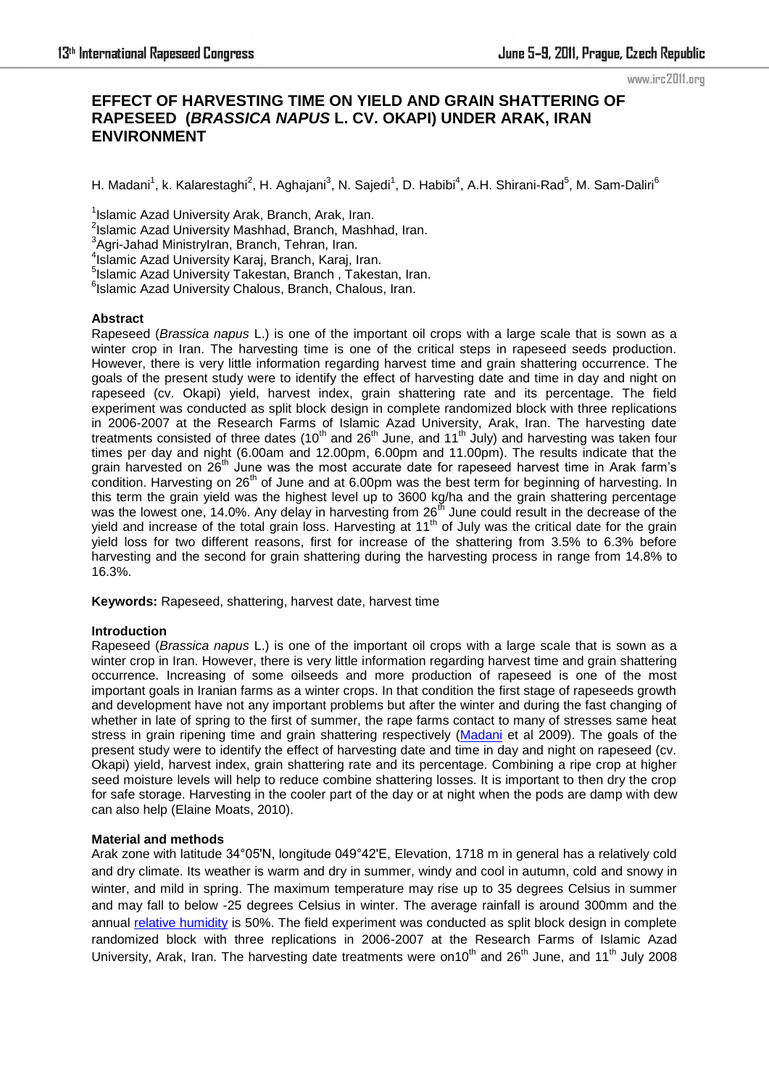www.irc2011.org

# **EFFECT OF HARVESTING TIME ON YIELD AND GRAIN SHATTERING OF RAPESEED (***BRASSICA NAPUS* **L. CV. OKAPI) UNDER ARAK, IRAN ENVIRONMENT**

H. Madani<sup>1</sup>, k. Kalarestaghi<sup>2</sup>, H. Aghajani<sup>3</sup>, N. Sajedi<sup>1</sup>, D. Habibi<sup>4</sup>, A.H. Shirani-Rad<sup>5</sup>, M. Sam-Daliri<sup>6</sup>

<sup>1</sup>Islamic Azad University Arak, Branch, Arak, Iran.

<sup>2</sup>Islamic Azad University Mashhad, Branch, Mashhad, Iran.

<sup>3</sup>Agri-Jahad MinistryIran, Branch, Tehran, Iran.

4 Islamic Azad University Karaj, Branch, Karaj, Iran.

5 Islamic Azad University Takestan, Branch , Takestan, Iran.

<sup>6</sup>Islamic Azad University Chalous, Branch, Chalous, Iran.

### **Abstract**

Rapeseed (*Brassica napus* L.) is one of the important oil crops with a large scale that is sown as a winter crop in Iran. The harvesting time is one of the critical steps in rapeseed seeds production. However, there is very little information regarding harvest time and grain shattering occurrence. The goals of the present study were to identify the effect of harvesting date and time in day and night on rapeseed (cv. Okapi) yield, harvest index, grain shattering rate and its percentage. The field experiment was conducted as split block design in complete randomized block with three replications in 2006-2007 at the Research Farms of Islamic Azad University, Arak, Iran. The harvesting date treatments consisted of three dates (10<sup>th</sup> and 26<sup>th</sup> June, and 11<sup>th</sup> July) and harvesting was taken four times per day and night (6.00am and 12.00pm, 6.00pm and 11.00pm). The results indicate that the grain harvested on 26<sup>th</sup> June was the most accurate date for rapeseed harvest time in Arak farm's condition. Harvesting on  $26<sup>th</sup>$  of June and at 6.00pm was the best term for beginning of harvesting. In this term the grain yield was the highest level up to 3600 kg/ha and the grain shattering percentage was the lowest one, 14.0%. Any delay in harvesting from 26<sup>th</sup> June could result in the decrease of the yield and increase of the total grain loss. Harvesting at 11<sup>th</sup> of July was the critical date for the grain yield loss for two different reasons, first for increase of the shattering from 3.5% to 6.3% before harvesting and the second for grain shattering during the harvesting process in range from 14.8% to 16.3%.

**Keywords:** Rapeseed, shattering, harvest date, harvest time

### **Introduction**

Rapeseed (*Brassica napus* L.) is one of the important oil crops with a large scale that is sown as a winter crop in Iran. However, there is very little information regarding harvest time and grain shattering occurrence. Increasing of some oilseeds and more production of rapeseed is one of the most important goals in Iranian farms as a winter crops. In that condition the first stage of rapeseeds growth and development have not any important problems but after the winter and during the fast changing of whether in late of spring to the first of summer, the rape farms contact to many of stresses same heat stress in grain ripening time and grain shattering respectively [\(Madani](http://www.ofis.ir/?tools&q=Madani&d=8&b=0) et al 2009). The goals of the present study were to identify the effect of harvesting date and time in day and night on rapeseed (cv. Okapi) yield, harvest index, grain shattering rate and its percentage. Combining a ripe crop at higher seed moisture levels will help to reduce combine shattering losses. It is important to then dry the crop for safe storage. Harvesting in the cooler part of the day or at night when the pods are damp with dew can also help (Elaine Moats, 2010).

### **Material and methods**

Arak zone with latitude 34°05'N, longitude 049°42'E, Elevation, 1718 m in general has a relatively cold and dry climate. Its weather is warm and dry in summer, windy and cool in autumn, cold and snowy in winter, and mild in spring. The maximum temperature may rise up to 35 degrees Celsius in summer and may fall to below -25 degrees Celsius in winter. The average rainfall is around 300mm and the annual [relative humidity](http://tripatlas.com/Relative_humidity) is 50%. The field experiment was conducted as split block design in complete randomized block with three replications in 2006-2007 at the Research Farms of Islamic Azad University, Arak, Iran. The harvesting date treatments were on10<sup>th</sup> and 26<sup>th</sup> June, and 11<sup>th</sup> July 2008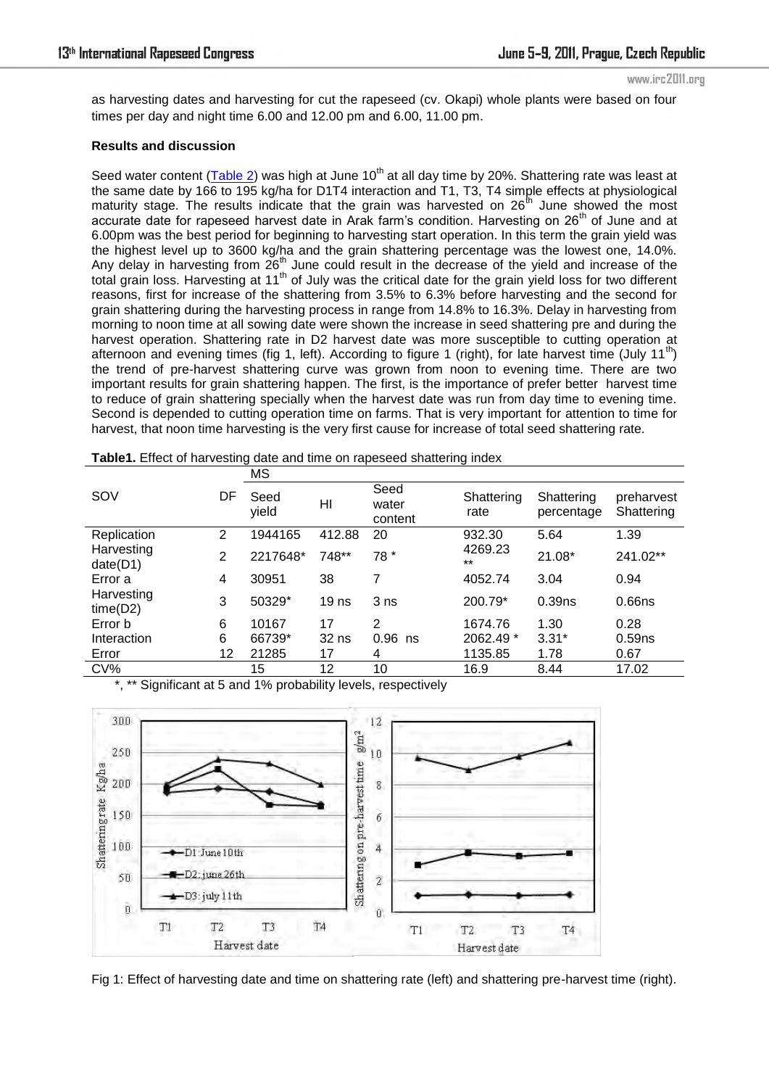www.irc2011.org

as harvesting dates and harvesting for cut the rapeseed (cv. Okapi) whole plants were based on four times per day and night time 6.00 and 12.00 pm and 6.00, 11.00 pm.

## **Results and discussion**

Seed water content [\(Table 2\)](http://www.scielo.br/scielo.php?script=sci_arttext&pid=S0103-90161994000200016#tab1) was high at June 10<sup>th</sup> at all day time by 20%. Shattering rate was least at the same date by 166 to 195 kg/ha for D1T4 interaction and T1, T3, T4 simple effects at physiological maturity stage. The results indicate that the grain was harvested on  $26<sup>th</sup>$  June showed the most accurate date for rapeseed harvest date in Arak farm's condition. Harvesting on  $26<sup>th</sup>$  of June and at 6.00pm was the best period for beginning to harvesting start operation. In this term the grain yield was the highest level up to 3600 kg/ha and the grain shattering percentage was the lowest one, 14.0%. Any delay in harvesting from  $26<sup>th</sup>$  June could result in the decrease of the yield and increase of the total grain loss. Harvesting at 11th of July was the critical date for the grain yield loss for two different reasons, first for increase of the shattering from 3.5% to 6.3% before harvesting and the second for grain shattering during the harvesting process in range from 14.8% to 16.3%. Delay in harvesting from morning to noon time at all sowing date were shown the increase in seed shattering pre and during the harvest operation. Shattering rate in D2 harvest date was more susceptible to cutting operation at afternoon and evening times (fig 1, left). According to figure 1 (right), for late harvest time (July 11<sup>th</sup>) the trend of pre-harvest shattering curve was grown from noon to evening time. There are two important results for grain shattering happen. The first, is the importance of prefer better harvest time to reduce of grain shattering specially when the harvest date was run from day time to evening time. Second is depended to cutting operation time on farms. That is very important for attention to time for harvest, that noon time harvesting is the very first cause for increase of total seed shattering rate.

|  | Table1. Effect of harvesting date and time on rapeseed shattering index |
|--|-------------------------------------------------------------------------|
|  |                                                                         |

|                        |                | МS            |                  |                          |                    |                          |                          |
|------------------------|----------------|---------------|------------------|--------------------------|--------------------|--------------------------|--------------------------|
| SOV                    | DF             | Seed<br>yield | HI               | Seed<br>water<br>content | Shattering<br>rate | Shattering<br>percentage | preharvest<br>Shattering |
| Replication            | $\overline{2}$ | 1944165       | 412.88           | 20                       | 932.30             | 5.64                     | 1.39                     |
| Harvesting<br>date(D1) | 2              | 2217648*      | 748**            | 78 *                     | 4269.23<br>$***$   | 21.08*                   | 241.02**                 |
| Error a                | 4              | 30951         | 38               | 7                        | 4052.74            | 3.04                     | 0.94                     |
| Harvesting<br>time(D2) | 3              | 50329*        | 19 <sub>ns</sub> | 3 <sub>ns</sub>          | 200.79*            | 0.39ns                   | 0.66ns                   |
| Error b                | 6              | 10167         | 17               | 2                        | 1674.76            | 1.30                     | 0.28                     |
| Interaction            | 6              | 66739*        | $32$ ns          | $0.96$ ns                | 2062.49 *          | $3.31*$                  | 0.59 <sub>ns</sub>       |
| Error                  | 12             | 21285         | 17               | 4                        | 1135.85            | 1.78                     | 0.67                     |
| CV%                    |                | 15            | 12               | 10                       | 16.9               | 8.44                     | 17.02                    |

Significant at 5 and 1% probability levels, respectively



Fig 1: Effect of harvesting date and time on shattering rate (left) and shattering pre-harvest time (right).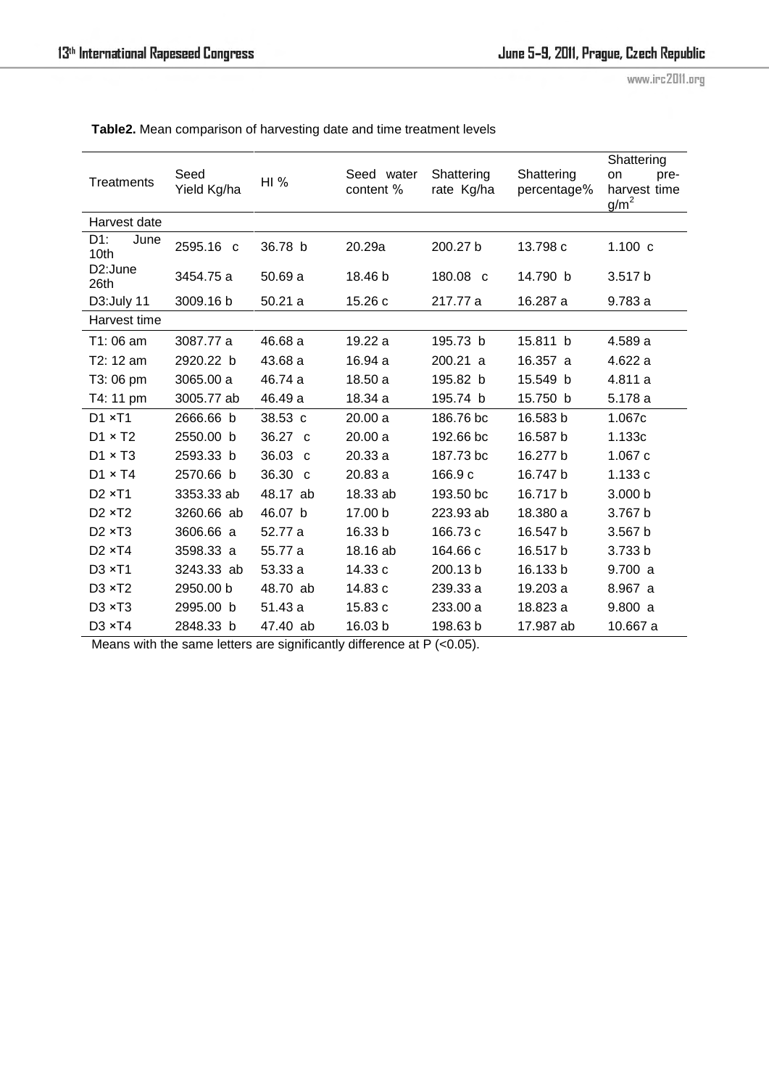www.irc2011.org

| Treatments                      | Seed<br>Yield Kg/ha | HI%               | Seed water<br>content % | Shattering<br>rate Kg/ha | Shattering<br>percentage% | Shattering<br>on<br>pre-<br>harvest time<br>$g/m^2$ |
|---------------------------------|---------------------|-------------------|-------------------------|--------------------------|---------------------------|-----------------------------------------------------|
| Harvest date                    |                     |                   |                         |                          |                           |                                                     |
| D1:<br>June<br>10th             | 2595.16 c           | 36.78 b           | 20.29a                  | 200.27 b                 | 13.798 c                  | 1.100c                                              |
| D <sub>2</sub> :June<br>26th    | 3454.75 a           | 50.69a            | 18.46 b                 | 180.08 c                 | 14.790 b                  | 3.517 b                                             |
| D3:July 11                      | 3009.16 b           | 50.21a            | 15.26 c                 | 217.77 a                 | 16.287 a                  | 9.783a                                              |
| Harvest time                    |                     |                   |                         |                          |                           |                                                     |
| T1:06 am                        | 3087.77 a           | 46.68 a           | 19.22 a                 | 195.73 b                 | 15.811 b                  | 4.589 a                                             |
| T2: 12 am                       | 2920.22 b           | 43.68 a           | 16.94 a                 | 200.21 a                 | 16.357 a                  | 4.622 a                                             |
| T3:06 pm                        | 3065.00 a           | 46.74 a           | 18.50a                  | 195.82 b                 | 15.549 b                  | 4.811 a                                             |
| T4: 11 pm                       | 3005.77 ab          | 46.49 a           | 18.34 a                 | 195.74 b                 | 15.750 b                  | 5.178 a                                             |
| $D1 \times T1$                  | 2666.66 b           | 38.53 c           | 20.00a                  | 186.76 bc                | 16.583 b                  | 1.067c                                              |
| $D1 \times T2$                  | 2550.00 b           | 36.27 c           | 20.00a                  | 192.66 bc                | 16.587 b                  | 1.133c                                              |
| $D1 \times T3$                  | 2593.33 b           | $36.03 \text{ c}$ | 20.33a                  | 187.73 bc                | 16.277 b                  | 1.067c                                              |
| $D1 \times T4$                  | 2570.66 b           | 36.30 c           | 20.83 a                 | 166.9 c                  | 16.747 b                  | 1.133c                                              |
| D <sub>2</sub> × T <sub>1</sub> | 3353.33 ab          | 48.17 ab          | 18.33 ab                | 193.50 bc                | 16.717b                   | 3.000 b                                             |
| $D2 \times T2$                  | 3260.66 ab          | 46.07 b           | 17.00 b                 | 223.93 ab                | 18.380 a                  | 3.767 b                                             |
| $D2 \times T3$                  | 3606.66 a           | 52.77 a           | 16.33 b                 | 166.73 c                 | 16.547 b                  | 3.567 b                                             |
| $D2 \times T4$                  | 3598.33 a           | 55.77 a           | 18.16 ab                | 164.66 c                 | 16.517 b                  | 3.733 b                                             |
| D3 × T1                         | 3243.33 ab          | 53.33 a           | 14.33 c                 | 200.13 b                 | 16.133 b                  | 9.700 a                                             |
| $D3 \times T2$                  | 2950.00 b           | 48.70 ab          | 14.83 c                 | 239.33 a                 | 19.203 a                  | 8.967 a                                             |
| $D3 \times T3$                  | 2995.00 b           | 51.43 a           | 15.83 c                 | 233.00 a                 | 18.823 a                  | 9.800a                                              |
| D3 × T4                         | 2848.33 b           | 47.40 ab          | 16.03 b                 | 198.63 b                 | 17.987 ab                 | 10.667 a                                            |

**Table2.** Mean comparison of harvesting date and time treatment levels

Means with the same letters are significantly difference at P (<0.05).